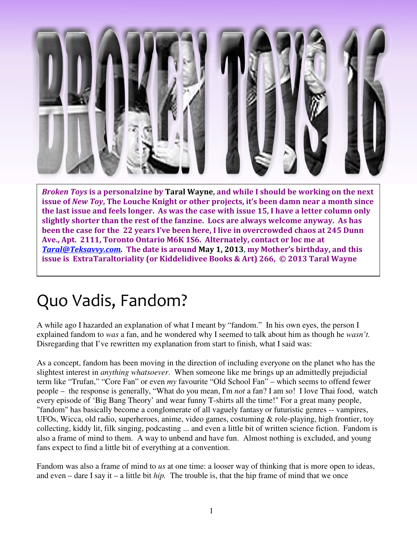

Broken Toys is a personalzine by Taral Wayne, and while I should be working on the next issue of New Toy, The Louche Knight or other projects, it's been damn near a month since the last issue and feels longer. As was the case with issue 15, I have a letter column only slightly shorter than the rest of the fanzine. Locs are always welcome anyway. As has been the case for the 22 years I've been here, I live in overcrowded chaos at 245 Dunn Ave., Apt. 2111, Toronto Ontario M6K 1S6. Alternately, contact or loc me at Taral@Teksavvy.com. The date is around May 1, 2013, my Mother's birthday, and this issue is ExtraTaraltoriality (or Kiddelidivee Books & Art) 266, © 2013 Taral Wayne

## Quo Vadis, Fandom?

A while ago I hazarded an explanation of what I meant by "fandom." In his own eyes, the person I explained fandom to *was* a fan, and he wondered why I seemed to talk about him as though he *wasn't.* Disregarding that I've rewritten my explanation from start to finish, what I said was:

As a concept, fandom has been moving in the direction of including everyone on the planet who has the slightest interest in *anything whatsoever*. When someone like me brings up an admittedly prejudicial term like "Trufan," "Core Fan" or even *my* favourite "Old School Fan" – which seems to offend fewer people – the response is generally, "What do you mean, I'm *not* a fan? I am so! I love Thai food, watch every episode of 'Big Bang Theory' and wear funny T-shirts all the time!" For a great many people, "fandom" has basically become a conglomerate of all vaguely fantasy or futuristic genres -- vampires, UFOs, Wicca, old radio, superheroes, anime, video games, costuming & role-playing, high frontier, toy collecting, kiddy lit, filk singing, podcasting ... and even a little bit of written science fiction. Fandom is also a frame of mind to them. A way to unbend and have fun. Almost nothing is excluded, and young fans expect to find a little bit of everything at a convention.

Fandom was also a frame of mind to *us* at one time: a looser way of thinking that is more open to ideas, and even – dare I say it – a little bit *hip.* The trouble is, that the hip frame of mind that we once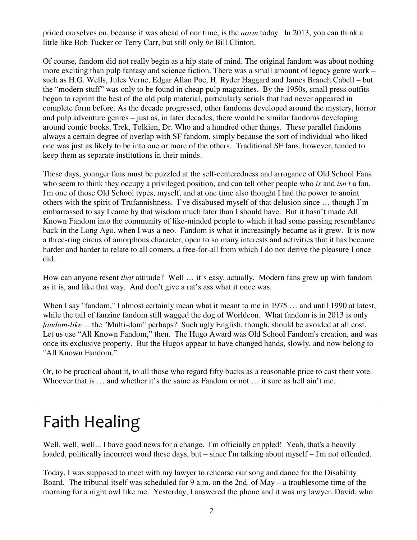prided ourselves on, because it was ahead of our time, is the *norm* today. In 2013, you can think a little like Bob Tucker or Terry Carr, but still only *be* Bill Clinton.

Of course, fandom did not really begin as a hip state of mind. The original fandom was about nothing more exciting than pulp fantasy and science fiction. There was a small amount of legacy genre work – such as H.G. Wells, Jules Verne, Edgar Allan Poe, H. Ryder Haggard and James Branch Cabell – but the "modern stuff" was only to be found in cheap pulp magazines. By the 1950s, small press outfits began to reprint the best of the old pulp material, particularly serials that had never appeared in complete form before. As the decade progressed, other fandoms developed around the mystery, horror and pulp adventure genres – just as, in later decades, there would be similar fandoms developing around comic books, Trek, Tolkien, Dr. Who and a hundred other things. These parallel fandoms always a certain degree of overlap with SF fandom, simply because the sort of individual who liked one was just as likely to be into one or more of the others. Traditional SF fans, however, tended to keep them as separate institutions in their minds.

These days, younger fans must be puzzled at the self-centeredness and arrogance of Old School Fans who seem to think they occupy a privileged position, and can tell other people who *is* and *isn't* a fan. I'm one of those Old School types, myself, and at one time also thought I had the power to anoint others with the spirit of Trufannishness. I've disabused myself of that delusion since … though I'm embarrassed to say I came by that wisdom much later than I should have. But it hasn't made All Known Fandom into the community of like-minded people to which it had some passing resemblance back in the Long Ago, when I was a neo. Fandom is what it increasingly became as it grew. It is now a three-ring circus of amorphous character, open to so many interests and activities that it has become harder and harder to relate to all comers, a free-for-all from which I do not derive the pleasure I once did.

How can anyone resent *that* attitude? Well … it's easy, actually. Modern fans grew up with fandom as it is, and like that way. And don't give a rat's ass what it once was.

When I say "fandom," I almost certainly mean what it meant to me in 1975 … and until 1990 at latest, while the tail of fanzine fandom still wagged the dog of Worldcon. What fandom is in 2013 is only *fandom-like* ... the "Multi-dom" perhaps? Such ugly English, though, should be avoided at all cost. Let us use "All Known Fandom," then. The Hugo Award was Old School Fandom's creation, and was once its exclusive property. But the Hugos appear to have changed hands, slowly, and now belong to "All Known Fandom."

Or, to be practical about it, to all those who regard fifty bucks as a reasonable price to cast their vote. Whoever that is ... and whether it's the same as Fandom or not ... it sure as hell ain't me.

## Faith Healing

Well, well, well... I have good news for a change. I'm officially crippled! Yeah, that's a heavily loaded, politically incorrect word these days, but – since I'm talking about myself – I'm not offended.

Today, I was supposed to meet with my lawyer to rehearse our song and dance for the Disability Board. The tribunal itself was scheduled for 9 a.m. on the 2nd. of May – a troublesome time of the morning for a night owl like me. Yesterday, I answered the phone and it was my lawyer, David, who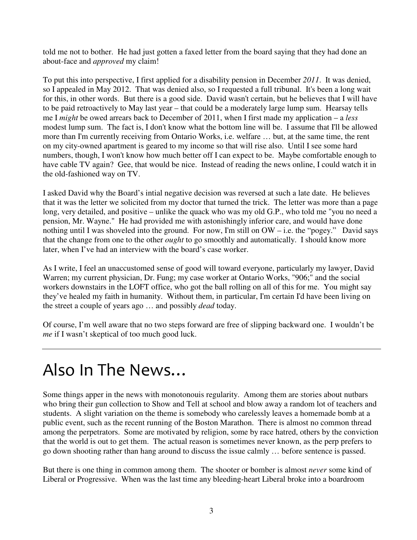told me not to bother. He had just gotten a faxed letter from the board saying that they had done an about-face and *approved* my claim!

To put this into perspective, I first applied for a disability pension in December *2011*. It was denied, so I appealed in May 2012. That was denied also, so I requested a full tribunal. It's been a long wait for this, in other words. But there is a good side. David wasn't certain, but he believes that I will have to be paid retroactively to May last year – that could be a moderately large lump sum. Hearsay tells me I *might* be owed arrears back to December of 2011, when I first made my application – a *less* modest lump sum. The fact is, I don't know what the bottom line will be. I assume that I'll be allowed more than I'm currently receiving from Ontario Works, i.e. welfare … but, at the same time, the rent on my city-owned apartment is geared to my income so that will rise also. Until I see some hard numbers, though, I won't know how much better off I can expect to be. Maybe comfortable enough to have cable TV again? Gee, that would be nice. Instead of reading the news online, I could watch it in the old-fashioned way on TV.

I asked David why the Board's intial negative decision was reversed at such a late date. He believes that it was the letter we solicited from my doctor that turned the trick. The letter was more than a page long, very detailed, and positive – unlike the quack who was my old G.P., who told me "you no need a pension, Mr. Wayne." He had provided me with astonishingly inferior care, and would have done nothing until I was shoveled into the ground. For now, I'm still on OW – i.e. the "pogey." David says that the change from one to the other *ought* to go smoothly and automatically. I should know more later, when I've had an interview with the board's case worker.

As I write, I feel an unaccustomed sense of good will toward everyone, particularly my lawyer, David Warren; my current physician, Dr. Fung; my case worker at Ontario Works, "906;" and the social workers downstairs in the LOFT office, who got the ball rolling on all of this for me. You might say they've healed my faith in humanity. Without them, in particular, I'm certain I'd have been living on the street a couple of years ago … and possibly *dead* today.

Of course, I'm well aware that no two steps forward are free of slipping backward one. I wouldn't be *me* if I wasn't skeptical of too much good luck.

## Also In The News…

Some things apper in the news with monotonouis regularity. Among them are stories about nutbars who bring their gun collection to Show and Tell at school and blow away a random lot of teachers and students. A slight variation on the theme is somebody who carelessly leaves a homemade bomb at a public event, such as the recent running of the Boston Marathon. There is almost no common thread among the perpetrators. Some are motivated by religion, some by race hatred, others by the conviction that the world is out to get them. The actual reason is sometimes never known, as the perp prefers to go down shooting rather than hang around to discuss the issue calmly … before sentence is passed.

But there is one thing in common among them. The shooter or bomber is almost *never* some kind of Liberal or Progressive. When was the last time any bleeding-heart Liberal broke into a boardroom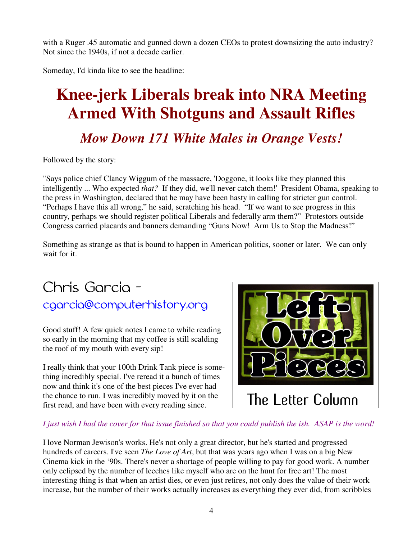with a Ruger .45 automatic and gunned down a dozen CEOs to protest downsizing the auto industry? Not since the 1940s, if not a decade earlier.

Someday, I'd kinda like to see the headline:

# **Knee-jerk Liberals break into NRA Meeting Armed With Shotguns and Assault Rifles**

#### *Mow Down 171 White Males in Orange Vests!*

Followed by the story:

"Says police chief Clancy Wiggum of the massacre, 'Doggone, it looks like they planned this intelligently ... Who expected *that?* If they did, we'll never catch them!' President Obama, speaking to the press in Washington, declared that he may have been hasty in calling for stricter gun control. "Perhaps I have this all wrong," he said, scratching his head. "If we want to see progress in this country, perhaps we should register political Liberals and federally arm them?" Protestors outside Congress carried placards and banners demanding "Guns Now! Arm Us to Stop the Madness!"

Something as strange as that is bound to happen in American politics, sooner or later. We can only wait for it.

#### Chris Garcia – cgarcia@computerhistory.org

Good stuff! A few quick notes I came to while reading so early in the morning that my coffee is still scalding the roof of my mouth with every sip!

I really think that your 100th Drink Tank piece is something incredibly special. I've reread it a bunch of times now and think it's one of the best pieces I've ever had the chance to run. I was incredibly moved by it on the first read, and have been with every reading since.



#### *I just wish I had the cover for that issue finished so that you could publish the ish. ASAP is the word!*

I love Norman Jewison's works. He's not only a great director, but he's started and progressed hundreds of careers. I've seen *The Love of Art*, but that was years ago when I was on a big New Cinema kick in the '90s. There's never a shortage of people willing to pay for good work. A number only eclipsed by the number of leeches like myself who are on the hunt for free art! The most interesting thing is that when an artist dies, or even just retires, not only does the value of their work increase, but the number of their works actually increases as everything they ever did, from scribbles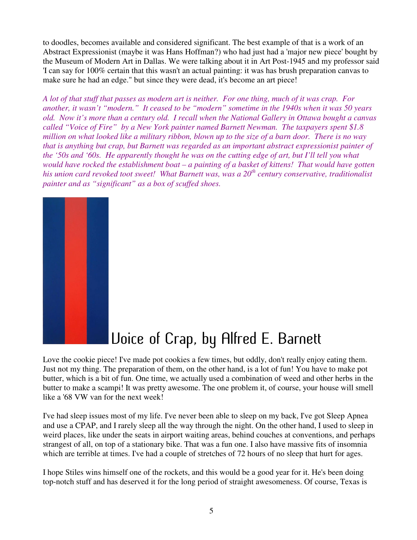to doodles, becomes available and considered significant. The best example of that is a work of an Abstract Expressionist (maybe it was Hans Hoffman?) who had just had a 'major new piece' bought by the Museum of Modern Art in Dallas. We were talking about it in Art Post-1945 and my professor said 'I can say for 100% certain that this wasn't an actual painting: it was has brush preparation canvas to make sure he had an edge." but since they were dead, it's become an art piece!

*A lot of that stuff that passes as modern art is neither. For one thing, much of it was crap. For another, it wasn't "modern." It ceased to be "modern" sometime in the 1940s when it was 50 years old. Now it's more than a century old. I recall when the National Gallery in Ottawa bought a canvas called "Voice of Fire" by a New York painter named Barnett Newman. The taxpayers spent \$1.8 million on what looked like a military ribbon, blown up to the size of a barn door. There is no way that is anything but crap, but Barnett was regarded as an important abstract expressionist painter of the '50s and '60s. He apparently thought he was on the cutting edge of art, but I'll tell you what would have rocked the establishment boat – a painting of a basket of kittens! That would have gotten his union card revoked toot sweet! What Barnett was, was a 20th century conservative, traditionalist painter and as "significant" as a box of scuffed shoes.*



## Uoice of Crap, by Alfred E. Barnett

Love the cookie piece! I've made pot cookies a few times, but oddly, don't really enjoy eating them. Just not my thing. The preparation of them, on the other hand, is a lot of fun! You have to make pot butter, which is a bit of fun. One time, we actually used a combination of weed and other herbs in the butter to make a scampi! It was pretty awesome. The one problem it, of course, your house will smell like a '68 VW van for the next week!

I've had sleep issues most of my life. I've never been able to sleep on my back, I've got Sleep Apnea and use a CPAP, and I rarely sleep all the way through the night. On the other hand, I used to sleep in weird places, like under the seats in airport waiting areas, behind couches at conventions, and perhaps strangest of all, on top of a stationary bike. That was a fun one. I also have massive fits of insomnia which are terrible at times. I've had a couple of stretches of 72 hours of no sleep that hurt for ages.

I hope Stiles wins himself one of the rockets, and this would be a good year for it. He's been doing top-notch stuff and has deserved it for the long period of straight awesomeness. Of course, Texas is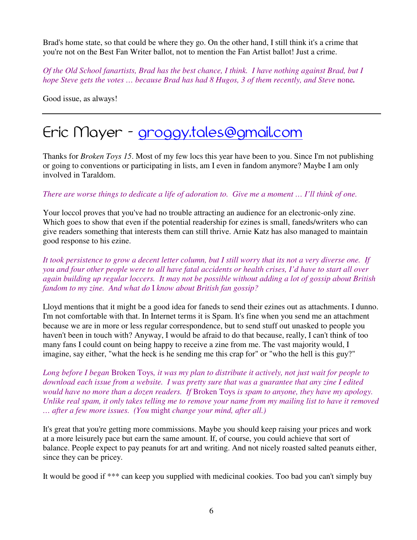Brad's home state, so that could be where they go. On the other hand, I still think it's a crime that you're not on the Best Fan Writer ballot, not to mention the Fan Artist ballot! Just a crime.

*Of the Old School fanartists, Brad has the best chance, I think. I have nothing against Brad, but I hope Steve gets the votes ... because Brad has had 8 Hugos, 3 of them recently, and Steve none.* 

Good issue, as always!

#### Eric Mayer - groggy.tales@gmail.com

Thanks for *Broken Toys 15*. Most of my few locs this year have been to you. Since I'm not publishing or going to conventions or participating in lists, am I even in fandom anymore? Maybe I am only involved in Taraldom.

#### *There are worse things to dedicate a life of adoration to. Give me a moment … I'll think of one.*

Your loccol proves that you've had no trouble attracting an audience for an electronic-only zine. Which goes to show that even if the potential readership for ezines is small, faneds/writers who can give readers something that interests them can still thrive. Arnie Katz has also managed to maintain good response to his ezine.

*It took persistence to grow a decent letter column, but I still worry that its not a very diverse one. If you and four other people were to all have fatal accidents or health crises, I'd have to start all over again building up regular loccers. It may not be possible without adding a lot of gossip about British fandom to my zine. And what do* I *know about British fan gossip?*

Lloyd mentions that it might be a good idea for faneds to send their ezines out as attachments. I dunno. I'm not comfortable with that. In Internet terms it is Spam. It's fine when you send me an attachment because we are in more or less regular correspondence, but to send stuff out unasked to people you haven't been in touch with? Anyway, I would be afraid to do that because, really, I can't think of too many fans I could count on being happy to receive a zine from me. The vast majority would, I imagine, say either, "what the heck is he sending me this crap for" or "who the hell is this guy?"

*Long before I began* Broken Toys*, it was my plan to distribute it actively, not just wait for people to download each issue from a website. I was pretty sure that was a guarantee that any zine I edited would have no more than a dozen readers. If* Broken Toys *is spam to anyone, they have my apology. Unlike real spam, it only takes telling me to remove your name from my mailing list to have it removed … after a few more issues. (You* might *change your mind, after all.)*

It's great that you're getting more commissions. Maybe you should keep raising your prices and work at a more leisurely pace but earn the same amount. If, of course, you could achieve that sort of balance. People expect to pay peanuts for art and writing. And not nicely roasted salted peanuts either, since they can be pricey.

It would be good if \*\*\* can keep you supplied with medicinal cookies. Too bad you can't simply buy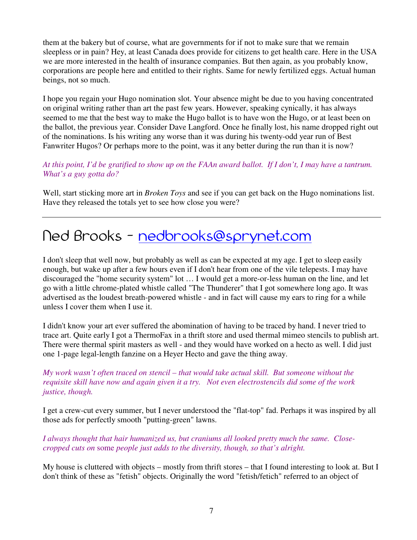them at the bakery but of course, what are governments for if not to make sure that we remain sleepless or in pain? Hey, at least Canada does provide for citizens to get health care. Here in the USA we are more interested in the health of insurance companies. But then again, as you probably know, corporations are people here and entitled to their rights. Same for newly fertilized eggs. Actual human beings, not so much.

I hope you regain your Hugo nomination slot. Your absence might be due to you having concentrated on original writing rather than art the past few years. However, speaking cynically, it has always seemed to me that the best way to make the Hugo ballot is to have won the Hugo, or at least been on the ballot, the previous year. Consider Dave Langford. Once he finally lost, his name dropped right out of the nominations. Is his writing any worse than it was during his twenty-odd year run of Best Fanwriter Hugos? Or perhaps more to the point, was it any better during the run than it is now?

*At this point, I'd be gratified to show up on the FAAn award ballot. If I don't, I may have a tantrum. What's a guy gotta do?*

Well, start sticking more art in *Broken Toys* and see if you can get back on the Hugo nominations list. Have they released the totals yet to see how close you were?

#### Ned Brooks – nedbrooks@sprynet.com

I don't sleep that well now, but probably as well as can be expected at my age. I get to sleep easily enough, but wake up after a few hours even if I don't hear from one of the vile telepests. I may have discouraged the "home security system" lot … I would get a more-or-less human on the line, and let go with a little chrome-plated whistle called "The Thunderer" that I got somewhere long ago. It was advertised as the loudest breath-powered whistle - and in fact will cause my ears to ring for a while unless I cover them when I use it.

I didn't know your art ever suffered the abomination of having to be traced by hand. I never tried to trace art. Quite early I got a ThermoFax in a thrift store and used thermal mimeo stencils to publish art. There were thermal spirit masters as well - and they would have worked on a hecto as well. I did just one 1-page legal-length fanzine on a Heyer Hecto and gave the thing away.

*My work wasn't often traced on stencil – that would take actual skill. But someone without the requisite skill have now and again given it a try. Not even electrostencils did some of the work justice, though.*

I get a crew-cut every summer, but I never understood the "flat-top" fad. Perhaps it was inspired by all those ads for perfectly smooth "putting-green" lawns.

*I always thought that hair humanized us, but craniums all looked pretty much the same. Closecropped cuts on* some *people just adds to the diversity, though, so that's alright.* 

My house is cluttered with objects – mostly from thrift stores – that I found interesting to look at. But I don't think of these as "fetish" objects. Originally the word "fetish/fetich" referred to an object of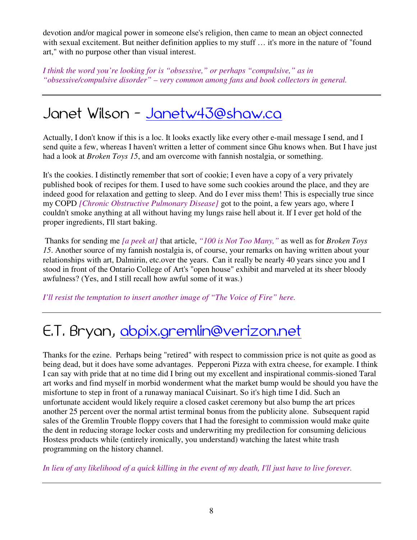devotion and/or magical power in someone else's religion, then came to mean an object connected with sexual excitement. But neither definition applies to my stuff ... it's more in the nature of "found" art," with no purpose other than visual interest.

*I think the word you're looking for is "obsessive," or perhaps "compulsive," as in "obsessive/compulsive disorder" – very common among fans and book collectors in general.* 

#### Janet Wilson – Janetw43@shaw.ca

Actually, I don't know if this is a loc. It looks exactly like every other e-mail message I send, and I send quite a few, whereas I haven't written a letter of comment since Ghu knows when. But I have just had a look at *Broken Toys 15*, and am overcome with fannish nostalgia, or something.

It's the cookies. I distinctly remember that sort of cookie; I even have a copy of a very privately published book of recipes for them. I used to have some such cookies around the place, and they are indeed good for relaxation and getting to sleep. And do I ever miss them! This is especially true since my COPD *[Chronic Obstructive Pulmonary Disease]* got to the point, a few years ago, where I couldn't smoke anything at all without having my lungs raise hell about it. If I ever get hold of the proper ingredients, I'll start baking.

 Thanks for sending me *[a peek at]* that article, *"100 is Not Too Many,"* as well as for *Broken Toys 15*. Another source of my fannish nostalgia is, of course, your remarks on having written about your relationships with art, Dalmirin, etc.over the years. Can it really be nearly 40 years since you and I stood in front of the Ontario College of Art's "open house" exhibit and marveled at its sheer bloody awfulness? (Yes, and I still recall how awful some of it was.)

*I'll resist the temptation to insert another image of "The Voice of Fire" here.* 

#### E.T. Bryan, abpix.gremlin@verizon.net

Thanks for the ezine. Perhaps being "retired" with respect to commission price is not quite as good as being dead, but it does have some advantages. Pepperoni Pizza with extra cheese, for example. I think I can say with pride that at no time did I bring out my excellent and inspirational commis-sioned Taral art works and find myself in morbid wonderment what the market bump would be should you have the misfortune to step in front of a runaway maniacal Cuisinart. So it's high time I did. Such an unfortunate accident would likely require a closed casket ceremony but also bump the art prices another 25 percent over the normal artist terminal bonus from the publicity alone. Subsequent rapid sales of the Gremlin Trouble floppy covers that I had the foresight to commission would make quite the dent in reducing storage locker costs and underwriting my predilection for consuming delicious Hostess products while (entirely ironically, you understand) watching the latest white trash programming on the history channel.

*In lieu of any likelihood of a quick killing in the event of my death, I'll just have to live forever.*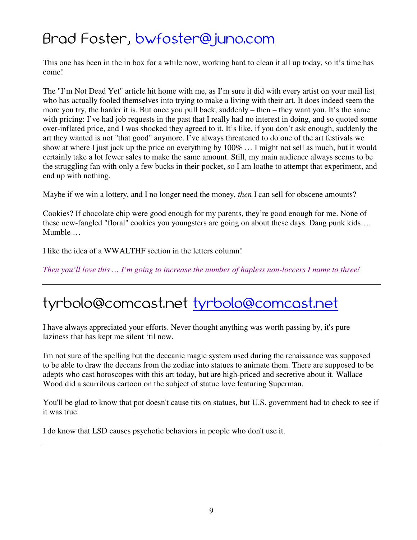#### Brad Foster, bwfoster@juno.com

This one has been in the in box for a while now, working hard to clean it all up today, so it's time has come!

The "I'm Not Dead Yet" article hit home with me, as I'm sure it did with every artist on your mail list who has actually fooled themselves into trying to make a living with their art. It does indeed seem the more you try, the harder it is. But once you pull back, suddenly – then – they want you. It's the same with pricing: I've had job requests in the past that I really had no interest in doing, and so quoted some over-inflated price, and I was shocked they agreed to it. It's like, if you don't ask enough, suddenly the art they wanted is not "that good" anymore. I've always threatened to do one of the art festivals we show at where I just jack up the price on everything by 100% … I might not sell as much, but it would certainly take a lot fewer sales to make the same amount. Still, my main audience always seems to be the struggling fan with only a few bucks in their pocket, so I am loathe to attempt that experiment, and end up with nothing.

Maybe if we win a lottery, and I no longer need the money, *then* I can sell for obscene amounts?

Cookies? If chocolate chip were good enough for my parents, they're good enough for me. None of these new-fangled "floral" cookies you youngsters are going on about these days. Dang punk kids…. Mumble …

I like the idea of a WWALTHF section in the letters column!

*Then you'll love this … I'm going to increase the number of hapless non-loccers I name to three!* 

## tyrbolo@comcast.net tyrbolo@comcast.net

I have always appreciated your efforts. Never thought anything was worth passing by, it's pure laziness that has kept me silent 'til now.

I'm not sure of the spelling but the deccanic magic system used during the renaissance was supposed to be able to draw the deccans from the zodiac into statues to animate them. There are supposed to be adepts who cast horoscopes with this art today, but are high-priced and secretive about it. Wallace Wood did a scurrilous cartoon on the subject of statue love featuring Superman.

You'll be glad to know that pot doesn't cause tits on statues, but U.S. government had to check to see if it was true.

I do know that LSD causes psychotic behaviors in people who don't use it.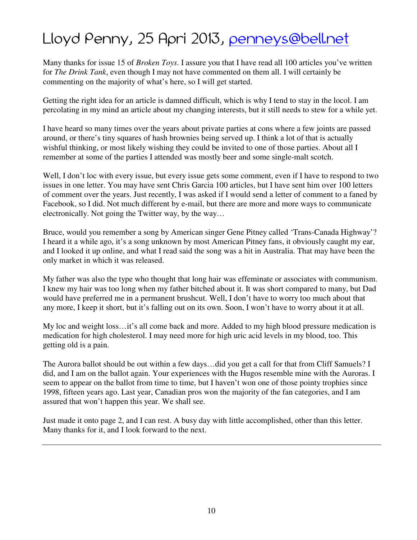## Lloyd Penny, 25 Apri 2013, penneys@bell.net

Many thanks for issue 15 of *Broken Toys*. I assure you that I have read all 100 articles you've written for *The Drink Tank*, even though I may not have commented on them all. I will certainly be commenting on the majority of what's here, so I will get started.

Getting the right idea for an article is damned difficult, which is why I tend to stay in the locol. I am percolating in my mind an article about my changing interests, but it still needs to stew for a while yet.

I have heard so many times over the years about private parties at cons where a few joints are passed around, or there's tiny squares of hash brownies being served up. I think a lot of that is actually wishful thinking, or most likely wishing they could be invited to one of those parties. About all I remember at some of the parties I attended was mostly beer and some single-malt scotch.

Well, I don't loc with every issue, but every issue gets some comment, even if I have to respond to two issues in one letter. You may have sent Chris Garcia 100 articles, but I have sent him over 100 letters of comment over the years. Just recently, I was asked if I would send a letter of comment to a faned by Facebook, so I did. Not much different by e-mail, but there are more and more ways to communicate electronically. Not going the Twitter way, by the way…

Bruce, would you remember a song by American singer Gene Pitney called 'Trans-Canada Highway'? I heard it a while ago, it's a song unknown by most American Pitney fans, it obviously caught my ear, and I looked it up online, and what I read said the song was a hit in Australia. That may have been the only market in which it was released.

My father was also the type who thought that long hair was effeminate or associates with communism. I knew my hair was too long when my father bitched about it. It was short compared to many, but Dad would have preferred me in a permanent brushcut. Well, I don't have to worry too much about that any more, I keep it short, but it's falling out on its own. Soon, I won't have to worry about it at all.

My loc and weight loss…it's all come back and more. Added to my high blood pressure medication is medication for high cholesterol. I may need more for high uric acid levels in my blood, too. This getting old is a pain.

The Aurora ballot should be out within a few days…did you get a call for that from Cliff Samuels? I did, and I am on the ballot again. Your experiences with the Hugos resemble mine with the Auroras. I seem to appear on the ballot from time to time, but I haven't won one of those pointy trophies since 1998, fifteen years ago. Last year, Canadian pros won the majority of the fan categories, and I am assured that won't happen this year. We shall see.

Just made it onto page 2, and I can rest. A busy day with little accomplished, other than this letter. Many thanks for it, and I look forward to the next.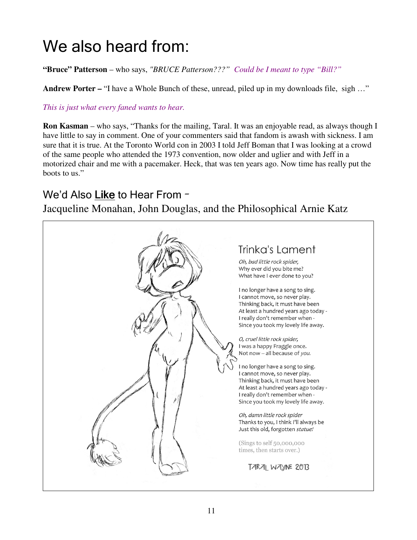## We also heard from:

**"Bruce" Patterson** – who says, *"BRUCE Patterson???" Could be I meant to type "Bill?"*

**Andrew Porter –** "I have a Whole Bunch of these, unread, piled up in my downloads file, sigh ..."

*This is just what every faned wants to hear.* 

**Ron Kasman** – who says, "Thanks for the mailing, Taral. It was an enjoyable read, as always though I have little to say in comment. One of your commenters said that fandom is awash with sickness. I am sure that it is true. At the Toronto World con in 2003 I told Jeff Boman that I was looking at a crowd of the same people who attended the 1973 convention, now older and uglier and with Jeff in a motorized chair and me with a pacemaker. Heck, that was ten years ago. Now time has really put the boots to us."

#### We'd Also Like to Hear From –

Jacqueline Monahan, John Douglas, and the Philosophical Arnie Katz

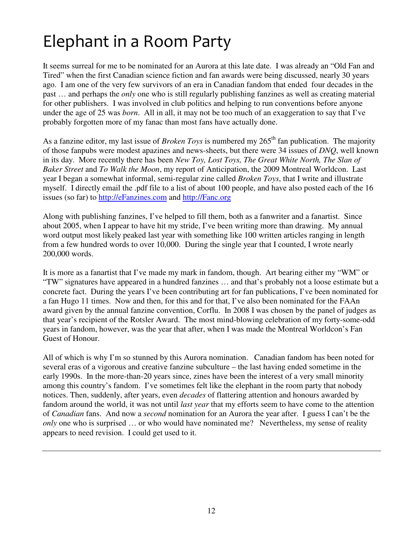## Elephant in a Room Party

It seems surreal for me to be nominated for an Aurora at this late date. I was already an "Old Fan and Tired" when the first Canadian science fiction and fan awards were being discussed, nearly 30 years ago. I am one of the very few survivors of an era in Canadian fandom that ended four decades in the past … and perhaps the *only* one who is still regularly publishing fanzines as well as creating material for other publishers. I was involved in club politics and helping to run conventions before anyone under the age of 25 was *born*. All in all, it may not be too much of an exaggeration to say that I've probably forgotten more of my fanac than most fans have actually done.

As a fanzine editor, my last issue of *Broken Toys* is numbered my 265<sup>th</sup> fan publication. The majority of those fanpubs were modest apazines and news-sheets, but there were 34 issues of *DNQ*, well known in its day. More recently there has been *New Toy, Lost Toys, The Great White North, The Slan of Baker Street* and *To Walk the Moon*, my report of Anticipation, the 2009 Montreal Worldcon. Last year I began a somewhat informal, semi-regular zine called *Broken Toys*, that I write and illustrate myself. I directly email the .pdf file to a list of about 100 people, and have also posted each of the 16 issues (so far) to http://eFanzines.com and http://Fanc.org

Along with publishing fanzines, I've helped to fill them, both as a fanwriter and a fanartist. Since about 2005, when I appear to have hit my stride, I've been writing more than drawing. My annual word output most likely peaked last year with something like 100 written articles ranging in length from a few hundred words to over 10,000. During the single year that I counted, I wrote nearly 200,000 words.

It is more as a fanartist that I've made my mark in fandom, though. Art bearing either my "WM" or "TW" signatures have appeared in a hundred fanzines … and that's probably not a loose estimate but a concrete fact. During the years I've been contributing art for fan publications, I've been nominated for a fan Hugo 11 times. Now and then, for this and for that, I've also been nominated for the FAAn award given by the annual fanzine convention, Corflu. In 2008 I was chosen by the panel of judges as that year's recipient of the Rotsler Award. The most mind-blowing celebration of my forty-some-odd years in fandom, however, was the year that after, when I was made the Montreal Worldcon's Fan Guest of Honour.

All of which is why I'm so stunned by this Aurora nomination. Canadian fandom has been noted for several eras of a vigorous and creative fanzine subculture – the last having ended sometime in the early 1990s. In the more-than-20 years since, zines have been the interest of a very small minority among this country's fandom. I've sometimes felt like the elephant in the room party that nobody notices. Then, suddenly, after years, even *decades* of flattering attention and honours awarded by fandom around the world, it was not until *last year* that my efforts seem to have come to the attention of *Canadian* fans. And now a *second* nomination for an Aurora the year after. I guess I can't be the *only* one who is surprised ... or who would have nominated me? Nevertheless, my sense of reality appears to need revision. I could get used to it.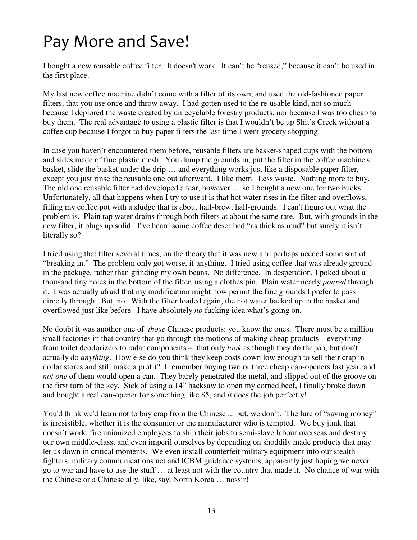## Pay More and Save!

I bought a new reusable coffee filter. It doesn't work. It can't be "reused," because it can't be used in the first place.

My last new coffee machine didn't come with a filter of its own, and used the old-fashioned paper filters, that you use once and throw away. I had gotten used to the re-usable kind, not so much because I deplored the waste created by unrecyclable forestry products, nor because I was too cheap to buy them. The real advantage to using a plastic filter is that I wouldn't be up Shit's Creek without a coffee cup because I forgot to buy paper filters the last time I went grocery shopping.

In case you haven't encountered them before, reusable filters are basket-shaped cups with the bottom and sides made of fine plastic mesh. You dump the grounds in, put the filter in the coffee machine's basket, slide the basket under the drip … and everything works just like a disposable paper filter, except you just rinse the reusable one out afterward. I like them. Less waste. Nothing more to buy. The old one reusable filter had developed a tear, however … so I bought a new one for two bucks. Unfortunately, all that happens when I try to use it is that hot water rises in the filter and overflows, filling my coffee pot with a sludge that is about half-brew, half-grounds. I can't figure out what the problem is. Plain tap water drains through both filters at about the same rate. But, with grounds in the new filter, it plugs up solid. I've heard some coffee described "as thick as mud" but surely it isn't literally so?

I tried using that filter several times, on the theory that it was new and perhaps needed some sort of "breaking in." The problem only got worse, if anything. I tried using coffee that was already ground in the package, rather than grinding my own beans. No difference. In desperation, I poked about a thousand tiny holes in the bottom of the filter, using a clothes pin. Plain water nearly *poured* through it. I was actually afraid that my modification might now permit the fine grounds I prefer to pass directly through. But, no. With the filter loaded again, the hot water backed up in the basket and overflowed just like before. I have absolutely *no* fucking idea what's going on.

No doubt it was another one of *those* Chinese products: you know the ones. There must be a million small factories in that country that go through the motions of making cheap products – everything from toilet deodorizers to radar components – that only *look* as though they do the job, but don't actually do *anything*. How else do you think they keep costs down low enough to sell their crap in dollar stores and still make a profit? I remember buying two or three cheap can-openers last year, and *not one* of them would open a can. They barely penetrated the metal, and slipped out of the groove on the first turn of the key. Sick of using a 14" hacksaw to open my corned beef, I finally broke down and bought a real can-opener for something like \$5, and *it* does the job perfectly!

You'd think we'd learn not to buy crap from the Chinese ... but, we don't. The lure of "saving money" is irresistible, whether it is the consumer or the manufacturer who is tempted. We buy junk that doesn't work, fire unionized employees to ship their jobs to semi-slave labour overseas and destroy our own middle-class, and even imperil ourselves by depending on shoddily made products that may let us down in critical moments. We even install counterfeit military equipment into our stealth fighters, military communications net and ICBM guidance systems, apparently just hoping we never go to war and have to use the stuff … at least not with the country that made it. No chance of war with the Chinese or a Chinese ally, like, say, North Korea … nossir!